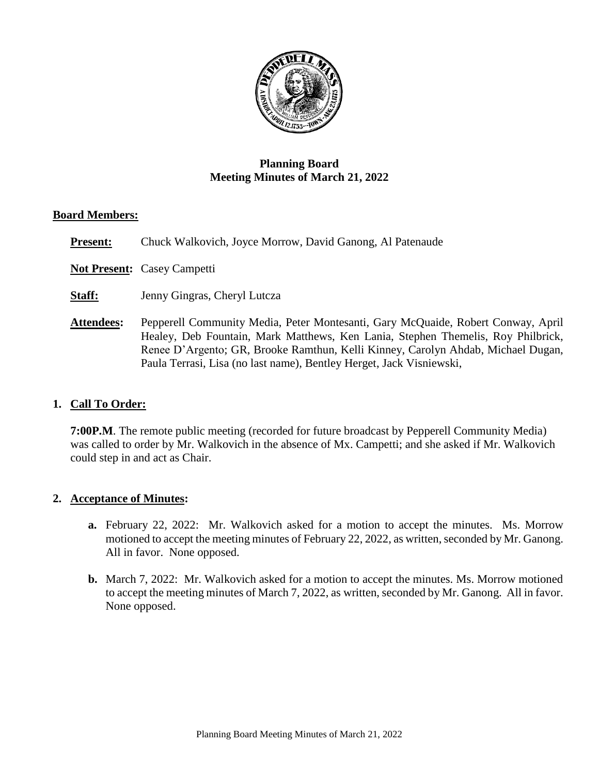

# **Planning Board Meeting Minutes of March 21, 2022**

#### **Board Members:**

**Present:** Chuck Walkovich, Joyce Morrow, David Ganong, Al Patenaude

**Not Present:** Casey Campetti

**Staff:** Jenny Gingras, Cheryl Lutcza

**Attendees:** Pepperell Community Media, Peter Montesanti, Gary McQuaide, Robert Conway, April Healey, Deb Fountain, Mark Matthews, Ken Lania, Stephen Themelis, Roy Philbrick, Renee D'Argento; GR, Brooke Ramthun, Kelli Kinney, Carolyn Ahdab, Michael Dugan, Paula Terrasi, Lisa (no last name), Bentley Herget, Jack Visniewski,

### **1. Call To Order:**

**7:00P.M**. The remote public meeting (recorded for future broadcast by Pepperell Community Media) was called to order by Mr. Walkovich in the absence of Mx. Campetti; and she asked if Mr. Walkovich could step in and act as Chair.

#### **2. Acceptance of Minutes:**

- **a.** February 22, 2022: Mr. Walkovich asked for a motion to accept the minutes. Ms. Morrow motioned to accept the meeting minutes of February 22, 2022, as written, seconded by Mr. Ganong. All in favor. None opposed.
- **b.** March 7, 2022: Mr. Walkovich asked for a motion to accept the minutes. Ms. Morrow motioned to accept the meeting minutes of March 7, 2022, as written, seconded by Mr. Ganong. All in favor. None opposed.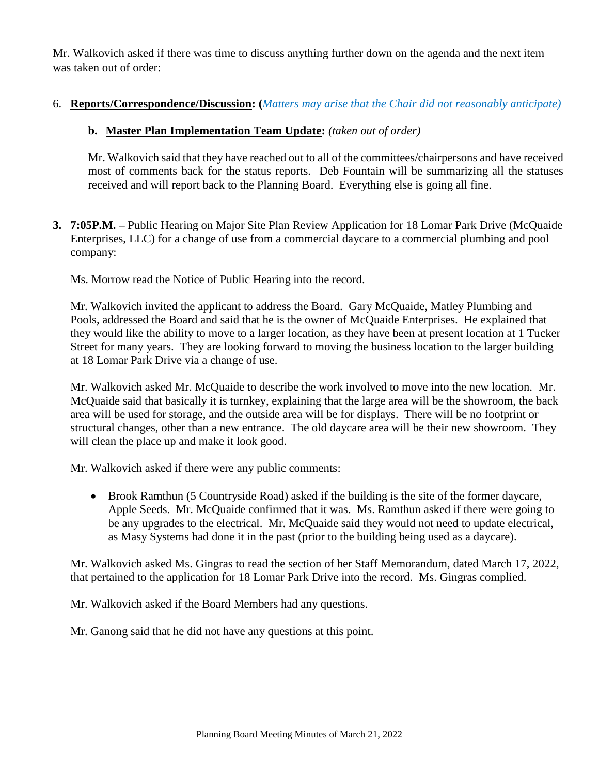Mr. Walkovich asked if there was time to discuss anything further down on the agenda and the next item was taken out of order:

# 6. **Reports/Correspondence/Discussion: (***Matters may arise that the Chair did not reasonably anticipate)*

# **b. Master Plan Implementation Team Update:** *(taken out of order)*

Mr. Walkovich said that they have reached out to all of the committees/chairpersons and have received most of comments back for the status reports. Deb Fountain will be summarizing all the statuses received and will report back to the Planning Board. Everything else is going all fine.

**3. 7:05P.M. –** Public Hearing on Major Site Plan Review Application for 18 Lomar Park Drive (McQuaide Enterprises, LLC) for a change of use from a commercial daycare to a commercial plumbing and pool company:

Ms. Morrow read the Notice of Public Hearing into the record.

Mr. Walkovich invited the applicant to address the Board. Gary McQuaide, Matley Plumbing and Pools, addressed the Board and said that he is the owner of McQuaide Enterprises. He explained that they would like the ability to move to a larger location, as they have been at present location at 1 Tucker Street for many years. They are looking forward to moving the business location to the larger building at 18 Lomar Park Drive via a change of use.

Mr. Walkovich asked Mr. McQuaide to describe the work involved to move into the new location. Mr. McQuaide said that basically it is turnkey, explaining that the large area will be the showroom, the back area will be used for storage, and the outside area will be for displays. There will be no footprint or structural changes, other than a new entrance. The old daycare area will be their new showroom. They will clean the place up and make it look good.

Mr. Walkovich asked if there were any public comments:

 Brook Ramthun (5 Countryside Road) asked if the building is the site of the former daycare, Apple Seeds. Mr. McQuaide confirmed that it was. Ms. Ramthun asked if there were going to be any upgrades to the electrical. Mr. McQuaide said they would not need to update electrical, as Masy Systems had done it in the past (prior to the building being used as a daycare).

Mr. Walkovich asked Ms. Gingras to read the section of her Staff Memorandum, dated March 17, 2022, that pertained to the application for 18 Lomar Park Drive into the record. Ms. Gingras complied.

Mr. Walkovich asked if the Board Members had any questions.

Mr. Ganong said that he did not have any questions at this point.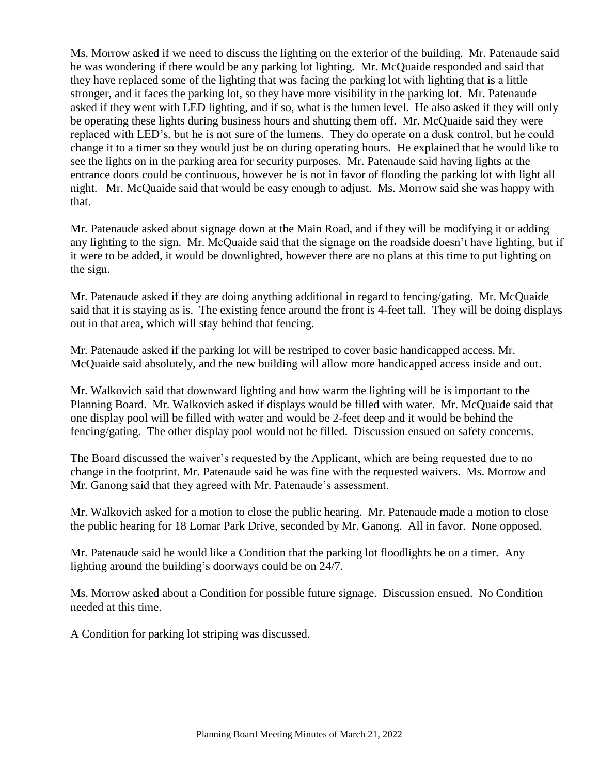Ms. Morrow asked if we need to discuss the lighting on the exterior of the building. Mr. Patenaude said he was wondering if there would be any parking lot lighting. Mr. McQuaide responded and said that they have replaced some of the lighting that was facing the parking lot with lighting that is a little stronger, and it faces the parking lot, so they have more visibility in the parking lot. Mr. Patenaude asked if they went with LED lighting, and if so, what is the lumen level. He also asked if they will only be operating these lights during business hours and shutting them off. Mr. McQuaide said they were replaced with LED's, but he is not sure of the lumens. They do operate on a dusk control, but he could change it to a timer so they would just be on during operating hours. He explained that he would like to see the lights on in the parking area for security purposes. Mr. Patenaude said having lights at the entrance doors could be continuous, however he is not in favor of flooding the parking lot with light all night. Mr. McQuaide said that would be easy enough to adjust. Ms. Morrow said she was happy with that.

Mr. Patenaude asked about signage down at the Main Road, and if they will be modifying it or adding any lighting to the sign. Mr. McQuaide said that the signage on the roadside doesn't have lighting, but if it were to be added, it would be downlighted, however there are no plans at this time to put lighting on the sign.

Mr. Patenaude asked if they are doing anything additional in regard to fencing/gating. Mr. McQuaide said that it is staying as is. The existing fence around the front is 4-feet tall. They will be doing displays out in that area, which will stay behind that fencing.

Mr. Patenaude asked if the parking lot will be restriped to cover basic handicapped access. Mr. McQuaide said absolutely, and the new building will allow more handicapped access inside and out.

Mr. Walkovich said that downward lighting and how warm the lighting will be is important to the Planning Board. Mr. Walkovich asked if displays would be filled with water. Mr. McQuaide said that one display pool will be filled with water and would be 2-feet deep and it would be behind the fencing/gating. The other display pool would not be filled. Discussion ensued on safety concerns.

The Board discussed the waiver's requested by the Applicant, which are being requested due to no change in the footprint. Mr. Patenaude said he was fine with the requested waivers. Ms. Morrow and Mr. Ganong said that they agreed with Mr. Patenaude's assessment.

Mr. Walkovich asked for a motion to close the public hearing. Mr. Patenaude made a motion to close the public hearing for 18 Lomar Park Drive, seconded by Mr. Ganong. All in favor. None opposed.

Mr. Patenaude said he would like a Condition that the parking lot floodlights be on a timer. Any lighting around the building's doorways could be on 24/7.

Ms. Morrow asked about a Condition for possible future signage. Discussion ensued. No Condition needed at this time.

A Condition for parking lot striping was discussed.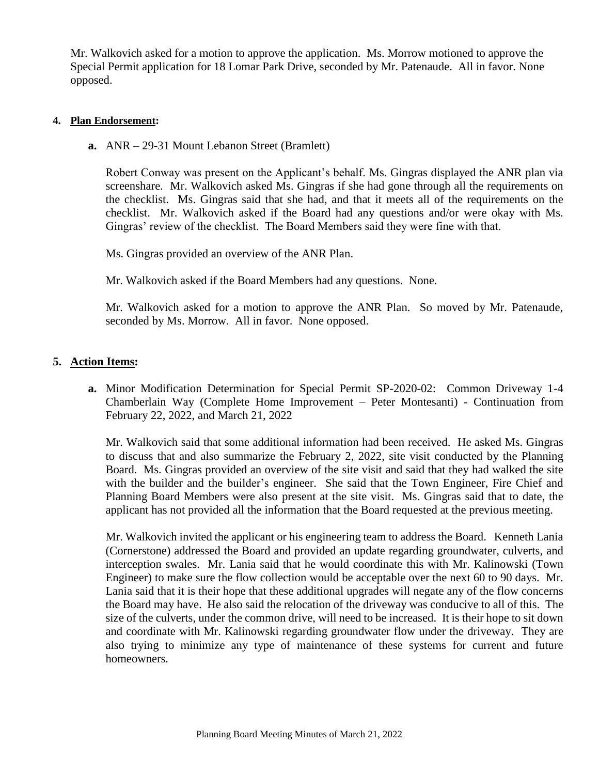Mr. Walkovich asked for a motion to approve the application. Ms. Morrow motioned to approve the Special Permit application for 18 Lomar Park Drive, seconded by Mr. Patenaude. All in favor. None opposed.

#### **4. Plan Endorsement:**

**a.** ANR – 29-31 Mount Lebanon Street (Bramlett)

Robert Conway was present on the Applicant's behalf. Ms. Gingras displayed the ANR plan via screenshare. Mr. Walkovich asked Ms. Gingras if she had gone through all the requirements on the checklist. Ms. Gingras said that she had, and that it meets all of the requirements on the checklist. Mr. Walkovich asked if the Board had any questions and/or were okay with Ms. Gingras' review of the checklist. The Board Members said they were fine with that.

Ms. Gingras provided an overview of the ANR Plan.

Mr. Walkovich asked if the Board Members had any questions. None.

Mr. Walkovich asked for a motion to approve the ANR Plan. So moved by Mr. Patenaude, seconded by Ms. Morrow. All in favor. None opposed.

### **5. Action Items:**

**a.** Minor Modification Determination for Special Permit SP-2020-02: Common Driveway 1-4 Chamberlain Way (Complete Home Improvement – Peter Montesanti) - Continuation from February 22, 2022, and March 21, 2022

Mr. Walkovich said that some additional information had been received. He asked Ms. Gingras to discuss that and also summarize the February 2, 2022, site visit conducted by the Planning Board. Ms. Gingras provided an overview of the site visit and said that they had walked the site with the builder and the builder's engineer. She said that the Town Engineer, Fire Chief and Planning Board Members were also present at the site visit. Ms. Gingras said that to date, the applicant has not provided all the information that the Board requested at the previous meeting.

Mr. Walkovich invited the applicant or his engineering team to address the Board. Kenneth Lania (Cornerstone) addressed the Board and provided an update regarding groundwater, culverts, and interception swales. Mr. Lania said that he would coordinate this with Mr. Kalinowski (Town Engineer) to make sure the flow collection would be acceptable over the next 60 to 90 days. Mr. Lania said that it is their hope that these additional upgrades will negate any of the flow concerns the Board may have. He also said the relocation of the driveway was conducive to all of this. The size of the culverts, under the common drive, will need to be increased. It is their hope to sit down and coordinate with Mr. Kalinowski regarding groundwater flow under the driveway. They are also trying to minimize any type of maintenance of these systems for current and future homeowners.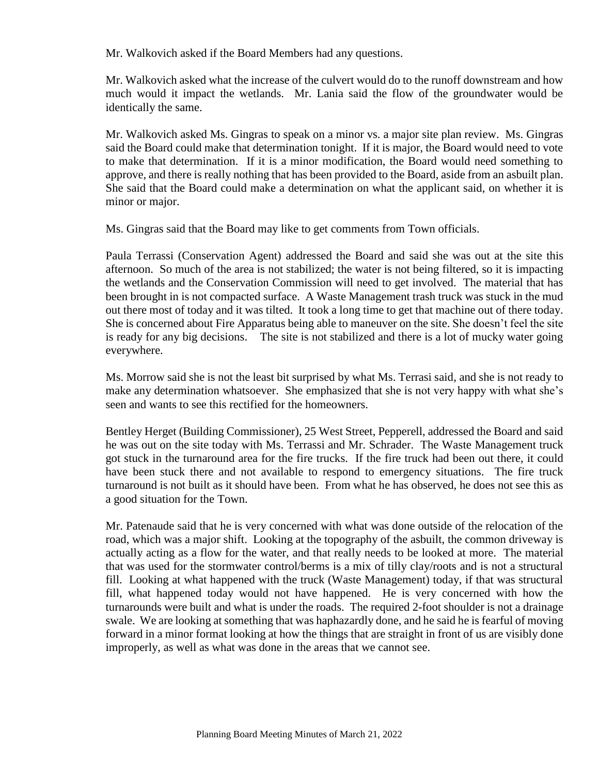Mr. Walkovich asked if the Board Members had any questions.

Mr. Walkovich asked what the increase of the culvert would do to the runoff downstream and how much would it impact the wetlands. Mr. Lania said the flow of the groundwater would be identically the same.

Mr. Walkovich asked Ms. Gingras to speak on a minor vs. a major site plan review. Ms. Gingras said the Board could make that determination tonight. If it is major, the Board would need to vote to make that determination. If it is a minor modification, the Board would need something to approve, and there is really nothing that has been provided to the Board, aside from an asbuilt plan. She said that the Board could make a determination on what the applicant said, on whether it is minor or major.

Ms. Gingras said that the Board may like to get comments from Town officials.

Paula Terrassi (Conservation Agent) addressed the Board and said she was out at the site this afternoon. So much of the area is not stabilized; the water is not being filtered, so it is impacting the wetlands and the Conservation Commission will need to get involved. The material that has been brought in is not compacted surface. A Waste Management trash truck was stuck in the mud out there most of today and it was tilted. It took a long time to get that machine out of there today. She is concerned about Fire Apparatus being able to maneuver on the site. She doesn't feel the site is ready for any big decisions. The site is not stabilized and there is a lot of mucky water going everywhere.

Ms. Morrow said she is not the least bit surprised by what Ms. Terrasi said, and she is not ready to make any determination whatsoever. She emphasized that she is not very happy with what she's seen and wants to see this rectified for the homeowners.

Bentley Herget (Building Commissioner), 25 West Street, Pepperell, addressed the Board and said he was out on the site today with Ms. Terrassi and Mr. Schrader. The Waste Management truck got stuck in the turnaround area for the fire trucks. If the fire truck had been out there, it could have been stuck there and not available to respond to emergency situations. The fire truck turnaround is not built as it should have been. From what he has observed, he does not see this as a good situation for the Town.

Mr. Patenaude said that he is very concerned with what was done outside of the relocation of the road, which was a major shift. Looking at the topography of the asbuilt, the common driveway is actually acting as a flow for the water, and that really needs to be looked at more. The material that was used for the stormwater control/berms is a mix of tilly clay/roots and is not a structural fill. Looking at what happened with the truck (Waste Management) today, if that was structural fill, what happened today would not have happened. He is very concerned with how the turnarounds were built and what is under the roads. The required 2-foot shoulder is not a drainage swale. We are looking at something that was haphazardly done, and he said he is fearful of moving forward in a minor format looking at how the things that are straight in front of us are visibly done improperly, as well as what was done in the areas that we cannot see.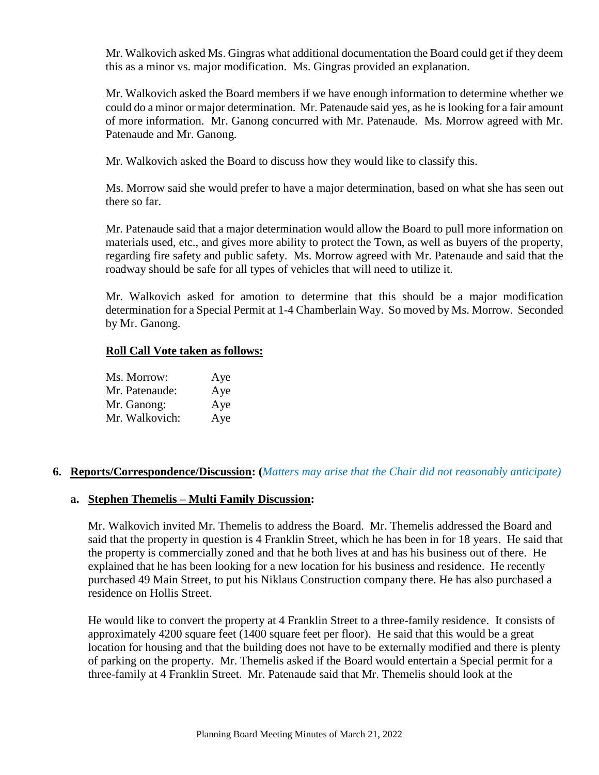Mr. Walkovich asked Ms. Gingras what additional documentation the Board could get if they deem this as a minor vs. major modification. Ms. Gingras provided an explanation.

Mr. Walkovich asked the Board members if we have enough information to determine whether we could do a minor or major determination. Mr. Patenaude said yes, as he is looking for a fair amount of more information. Mr. Ganong concurred with Mr. Patenaude. Ms. Morrow agreed with Mr. Patenaude and Mr. Ganong.

Mr. Walkovich asked the Board to discuss how they would like to classify this.

Ms. Morrow said she would prefer to have a major determination, based on what she has seen out there so far.

Mr. Patenaude said that a major determination would allow the Board to pull more information on materials used, etc., and gives more ability to protect the Town, as well as buyers of the property, regarding fire safety and public safety. Ms. Morrow agreed with Mr. Patenaude and said that the roadway should be safe for all types of vehicles that will need to utilize it.

Mr. Walkovich asked for amotion to determine that this should be a major modification determination for a Special Permit at 1-4 Chamberlain Way. So moved by Ms. Morrow. Seconded by Mr. Ganong.

### **Roll Call Vote taken as follows:**

| Ms. Morrow:    | Aye |
|----------------|-----|
| Mr. Patenaude: | Aye |
| Mr. Ganong:    | Aye |
| Mr. Walkovich: | Aye |

### **6. Reports/Correspondence/Discussion: (***Matters may arise that the Chair did not reasonably anticipate)*

### **a. Stephen Themelis – Multi Family Discussion:**

Mr. Walkovich invited Mr. Themelis to address the Board. Mr. Themelis addressed the Board and said that the property in question is 4 Franklin Street, which he has been in for 18 years. He said that the property is commercially zoned and that he both lives at and has his business out of there. He explained that he has been looking for a new location for his business and residence. He recently purchased 49 Main Street, to put his Niklaus Construction company there. He has also purchased a residence on Hollis Street.

He would like to convert the property at 4 Franklin Street to a three-family residence. It consists of approximately 4200 square feet (1400 square feet per floor). He said that this would be a great location for housing and that the building does not have to be externally modified and there is plenty of parking on the property. Mr. Themelis asked if the Board would entertain a Special permit for a three-family at 4 Franklin Street. Mr. Patenaude said that Mr. Themelis should look at the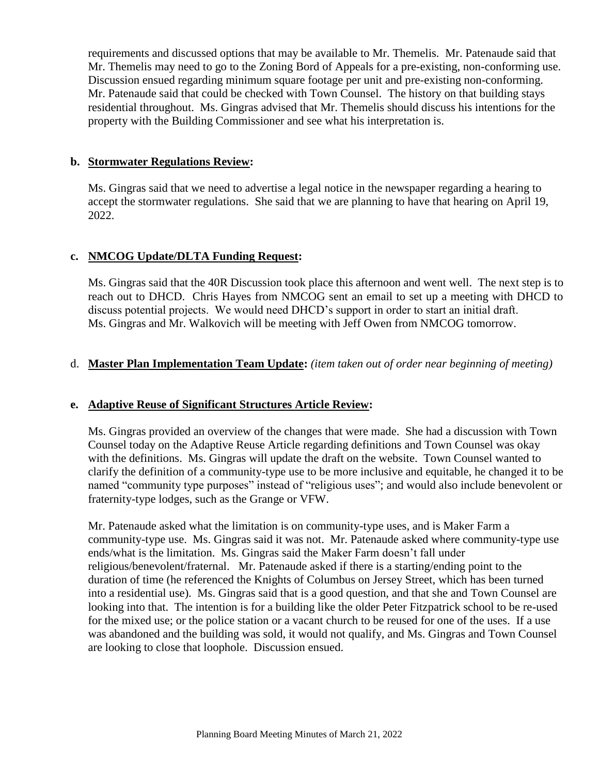requirements and discussed options that may be available to Mr. Themelis. Mr. Patenaude said that Mr. Themelis may need to go to the Zoning Bord of Appeals for a pre-existing, non-conforming use. Discussion ensued regarding minimum square footage per unit and pre-existing non-conforming. Mr. Patenaude said that could be checked with Town Counsel. The history on that building stays residential throughout. Ms. Gingras advised that Mr. Themelis should discuss his intentions for the property with the Building Commissioner and see what his interpretation is.

#### **b. Stormwater Regulations Review:**

Ms. Gingras said that we need to advertise a legal notice in the newspaper regarding a hearing to accept the stormwater regulations. She said that we are planning to have that hearing on April 19, 2022.

#### **c. NMCOG Update/DLTA Funding Request:**

Ms. Gingras said that the 40R Discussion took place this afternoon and went well. The next step is to reach out to DHCD. Chris Hayes from NMCOG sent an email to set up a meeting with DHCD to discuss potential projects. We would need DHCD's support in order to start an initial draft. Ms. Gingras and Mr. Walkovich will be meeting with Jeff Owen from NMCOG tomorrow.

### d. **Master Plan Implementation Team Update:** *(item taken out of order near beginning of meeting)*

#### **e. Adaptive Reuse of Significant Structures Article Review:**

Ms. Gingras provided an overview of the changes that were made. She had a discussion with Town Counsel today on the Adaptive Reuse Article regarding definitions and Town Counsel was okay with the definitions. Ms. Gingras will update the draft on the website. Town Counsel wanted to clarify the definition of a community-type use to be more inclusive and equitable, he changed it to be named "community type purposes" instead of "religious uses"; and would also include benevolent or fraternity-type lodges, such as the Grange or VFW.

Mr. Patenaude asked what the limitation is on community-type uses, and is Maker Farm a community-type use. Ms. Gingras said it was not. Mr. Patenaude asked where community-type use ends/what is the limitation. Ms. Gingras said the Maker Farm doesn't fall under religious/benevolent/fraternal. Mr. Patenaude asked if there is a starting/ending point to the duration of time (he referenced the Knights of Columbus on Jersey Street, which has been turned into a residential use). Ms. Gingras said that is a good question, and that she and Town Counsel are looking into that. The intention is for a building like the older Peter Fitzpatrick school to be re-used for the mixed use; or the police station or a vacant church to be reused for one of the uses. If a use was abandoned and the building was sold, it would not qualify, and Ms. Gingras and Town Counsel are looking to close that loophole. Discussion ensued.